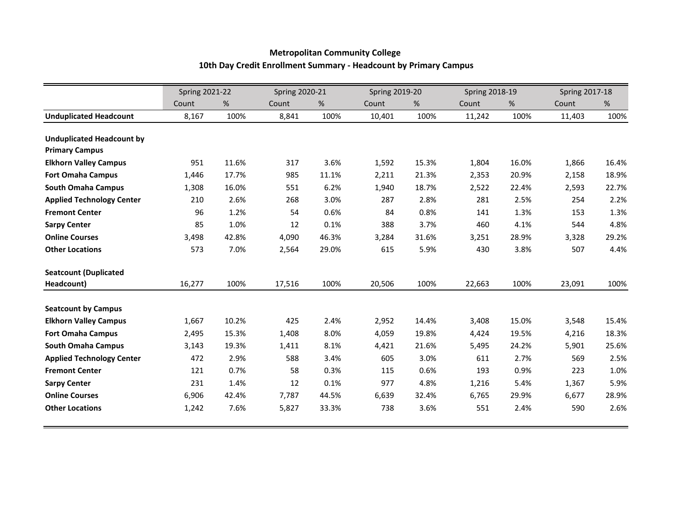## **Metropolitan Community College 10th Day Credit Enrollment Summary - Headcount by Primary Campus**

|                                  | <b>Spring 2021-22</b> |       | <b>Spring 2020-21</b> |       | <b>Spring 2019-20</b> |       | <b>Spring 2018-19</b> |       | <b>Spring 2017-18</b> |       |
|----------------------------------|-----------------------|-------|-----------------------|-------|-----------------------|-------|-----------------------|-------|-----------------------|-------|
|                                  | Count                 | %     | Count                 | %     | Count                 | %     | Count                 | %     | Count                 | %     |
| <b>Unduplicated Headcount</b>    | 8,167                 | 100%  | 8,841                 | 100%  | 10,401                | 100%  | 11,242                | 100%  | 11,403                | 100%  |
|                                  |                       |       |                       |       |                       |       |                       |       |                       |       |
| <b>Unduplicated Headcount by</b> |                       |       |                       |       |                       |       |                       |       |                       |       |
| <b>Primary Campus</b>            |                       |       |                       |       |                       |       |                       |       |                       |       |
| <b>Elkhorn Valley Campus</b>     | 951                   | 11.6% | 317                   | 3.6%  | 1,592                 | 15.3% | 1,804                 | 16.0% | 1,866                 | 16.4% |
| <b>Fort Omaha Campus</b>         | 1,446                 | 17.7% | 985                   | 11.1% | 2,211                 | 21.3% | 2,353                 | 20.9% | 2,158                 | 18.9% |
| <b>South Omaha Campus</b>        | 1,308                 | 16.0% | 551                   | 6.2%  | 1,940                 | 18.7% | 2,522                 | 22.4% | 2,593                 | 22.7% |
| <b>Applied Technology Center</b> | 210                   | 2.6%  | 268                   | 3.0%  | 287                   | 2.8%  | 281                   | 2.5%  | 254                   | 2.2%  |
| <b>Fremont Center</b>            | 96                    | 1.2%  | 54                    | 0.6%  | 84                    | 0.8%  | 141                   | 1.3%  | 153                   | 1.3%  |
| <b>Sarpy Center</b>              | 85                    | 1.0%  | 12                    | 0.1%  | 388                   | 3.7%  | 460                   | 4.1%  | 544                   | 4.8%  |
| <b>Online Courses</b>            | 3,498                 | 42.8% | 4,090                 | 46.3% | 3,284                 | 31.6% | 3,251                 | 28.9% | 3,328                 | 29.2% |
| <b>Other Locations</b>           | 573                   | 7.0%  | 2,564                 | 29.0% | 615                   | 5.9%  | 430                   | 3.8%  | 507                   | 4.4%  |
| <b>Seatcount (Duplicated</b>     |                       |       |                       |       |                       |       |                       |       |                       |       |
| Headcount)                       | 16,277                | 100%  | 17,516                | 100%  | 20,506                | 100%  | 22,663                | 100%  | 23,091                | 100%  |
| <b>Seatcount by Campus</b>       |                       |       |                       |       |                       |       |                       |       |                       |       |
| <b>Elkhorn Valley Campus</b>     | 1,667                 | 10.2% | 425                   | 2.4%  | 2,952                 | 14.4% | 3,408                 | 15.0% | 3,548                 | 15.4% |
| <b>Fort Omaha Campus</b>         | 2,495                 | 15.3% | 1,408                 | 8.0%  | 4,059                 | 19.8% | 4,424                 | 19.5% | 4,216                 | 18.3% |
| <b>South Omaha Campus</b>        | 3,143                 | 19.3% | 1,411                 | 8.1%  | 4,421                 | 21.6% | 5,495                 | 24.2% | 5,901                 | 25.6% |
| <b>Applied Technology Center</b> | 472                   | 2.9%  | 588                   | 3.4%  | 605                   | 3.0%  | 611                   | 2.7%  | 569                   | 2.5%  |
| <b>Fremont Center</b>            | 121                   | 0.7%  | 58                    | 0.3%  | 115                   | 0.6%  | 193                   | 0.9%  | 223                   | 1.0%  |
| <b>Sarpy Center</b>              | 231                   | 1.4%  | 12                    | 0.1%  | 977                   | 4.8%  | 1,216                 | 5.4%  | 1,367                 | 5.9%  |
| <b>Online Courses</b>            | 6,906                 | 42.4% | 7,787                 | 44.5% | 6,639                 | 32.4% | 6,765                 | 29.9% | 6,677                 | 28.9% |
| <b>Other Locations</b>           | 1,242                 | 7.6%  | 5,827                 | 33.3% | 738                   | 3.6%  | 551                   | 2.4%  | 590                   | 2.6%  |